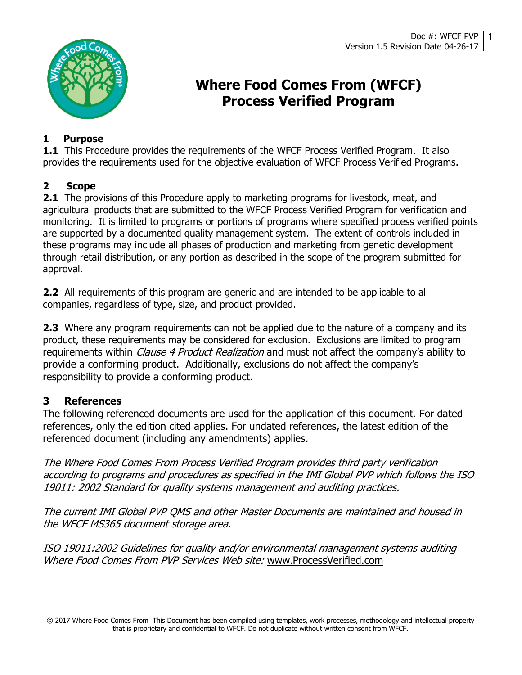

# Where Food Comes From (WFCF) Process Verified Program

### 1 Purpose

**1.1** This Procedure provides the requirements of the WFCF Process Verified Program. It also provides the requirements used for the objective evaluation of WFCF Process Verified Programs.

### 2 Scope

**2.1** The provisions of this Procedure apply to marketing programs for livestock, meat, and agricultural products that are submitted to the WFCF Process Verified Program for verification and monitoring. It is limited to programs or portions of programs where specified process verified points are supported by a documented quality management system. The extent of controls included in these programs may include all phases of production and marketing from genetic development through retail distribution, or any portion as described in the scope of the program submitted for approval.

**2.2** All requirements of this program are generic and are intended to be applicable to all companies, regardless of type, size, and product provided.

**2.3** Where any program requirements can not be applied due to the nature of a company and its product, these requirements may be considered for exclusion. Exclusions are limited to program requirements within *Clause 4 Product Realization* and must not affect the company's ability to provide a conforming product. Additionally, exclusions do not affect the company's responsibility to provide a conforming product.

### 3 References

The following referenced documents are used for the application of this document. For dated references, only the edition cited applies. For undated references, the latest edition of the referenced document (including any amendments) applies.

The Where Food Comes From Process Verified Program provides third party verification according to programs and procedures as specified in the IMI Global PVP which follows the ISO 19011: 2002 Standard for quality systems management and auditing practices.

The current IMI Global PVP QMS and other Master Documents are maintained and housed in the WFCF MS365 document storage area.

ISO 19011:2002 Guidelines for quality and/or environmental management systems auditing Where Food Comes From PVP Services Web site: www.ProcessVerified.com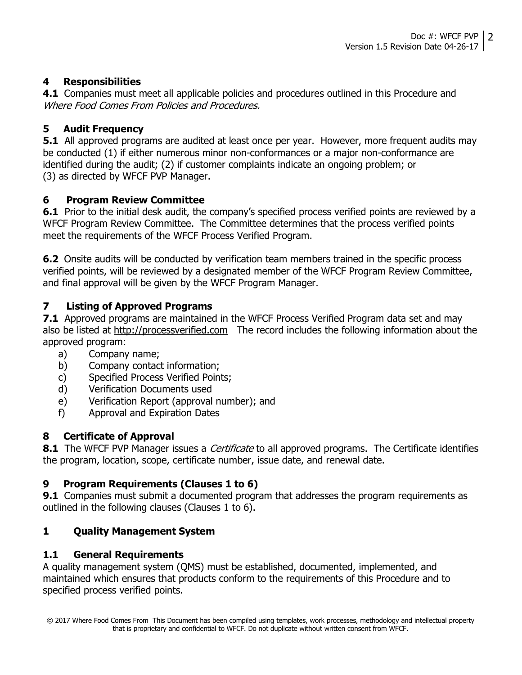### 4 Responsibilities

4.1 Companies must meet all applicable policies and procedures outlined in this Procedure and Where Food Comes From Policies and Procedures.

### 5 Audit Frequency

**5.1** All approved programs are audited at least once per year. However, more frequent audits may be conducted (1) if either numerous minor non-conformances or a major non-conformance are identified during the audit; (2) if customer complaints indicate an ongoing problem; or (3) as directed by WFCF PVP Manager.

#### 6 Program Review Committee

**6.1** Prior to the initial desk audit, the company's specified process verified points are reviewed by a WFCF Program Review Committee. The Committee determines that the process verified points meet the requirements of the WFCF Process Verified Program.

**6.2** Onsite audits will be conducted by verification team members trained in the specific process verified points, will be reviewed by a designated member of the WFCF Program Review Committee, and final approval will be given by the WFCF Program Manager.

#### 7 Listing of Approved Programs

**7.1** Approved programs are maintained in the WFCF Process Verified Program data set and may also be listed at http://processverified.com The record includes the following information about the approved program:

- a) Company name;
- b) Company contact information;
- c) Specified Process Verified Points;
- d) Verification Documents used
- e) Verification Report (approval number); and
- f) Approval and Expiration Dates

#### 8 Certificate of Approval

**8.1** The WFCF PVP Manager issues a *Certificate* to all approved programs. The Certificate identifies the program, location, scope, certificate number, issue date, and renewal date.

#### 9 Program Requirements (Clauses 1 to 6)

**9.1** Companies must submit a documented program that addresses the program requirements as outlined in the following clauses (Clauses 1 to 6).

#### 1 Quality Management System

#### 1.1 General Requirements

A quality management system (QMS) must be established, documented, implemented, and maintained which ensures that products conform to the requirements of this Procedure and to specified process verified points.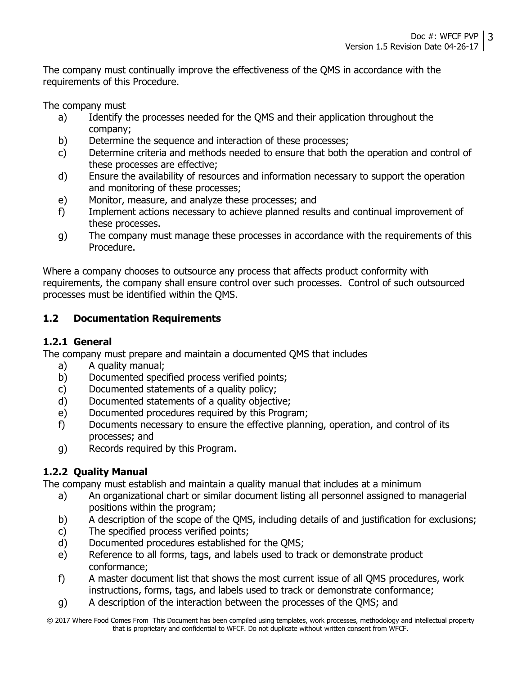The company must continually improve the effectiveness of the QMS in accordance with the requirements of this Procedure.

The company must

- a) Identify the processes needed for the QMS and their application throughout the company;
- b) Determine the sequence and interaction of these processes;
- c) Determine criteria and methods needed to ensure that both the operation and control of these processes are effective;
- d) Ensure the availability of resources and information necessary to support the operation and monitoring of these processes;
- e) Monitor, measure, and analyze these processes; and
- f) Implement actions necessary to achieve planned results and continual improvement of these processes.
- g) The company must manage these processes in accordance with the requirements of this Procedure.

Where a company chooses to outsource any process that affects product conformity with requirements, the company shall ensure control over such processes. Control of such outsourced processes must be identified within the QMS.

### 1.2 Documentation Requirements

### 1.2.1 General

The company must prepare and maintain a documented QMS that includes

- a) A quality manual;
- b) Documented specified process verified points;
- c) Documented statements of a quality policy;
- d) Documented statements of a quality objective;
- e) Documented procedures required by this Program;
- f) Documents necessary to ensure the effective planning, operation, and control of its processes; and
- g) Records required by this Program.

### 1.2.2 Quality Manual

The company must establish and maintain a quality manual that includes at a minimum

- a) An organizational chart or similar document listing all personnel assigned to managerial positions within the program;
- b) A description of the scope of the QMS, including details of and justification for exclusions;
- c) The specified process verified points;
- d) Documented procedures established for the QMS;
- e) Reference to all forms, tags, and labels used to track or demonstrate product conformance;
- f) A master document list that shows the most current issue of all QMS procedures, work instructions, forms, tags, and labels used to track or demonstrate conformance;
- g) A description of the interaction between the processes of the QMS; and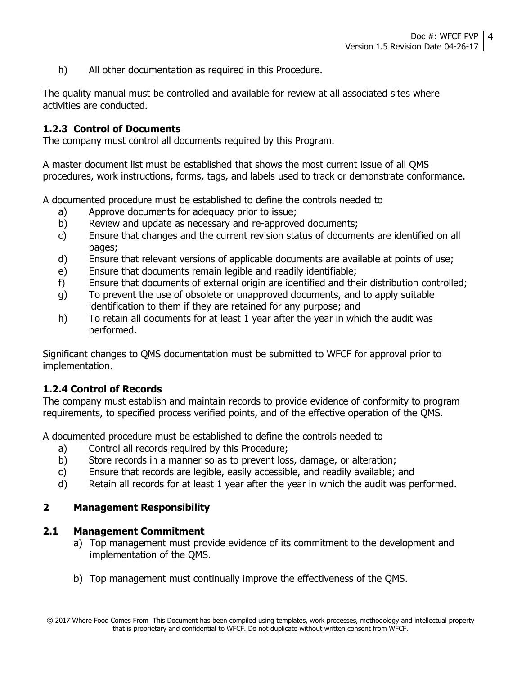h) All other documentation as required in this Procedure.

The quality manual must be controlled and available for review at all associated sites where activities are conducted.

#### 1.2.3 Control of Documents

The company must control all documents required by this Program.

A master document list must be established that shows the most current issue of all QMS procedures, work instructions, forms, tags, and labels used to track or demonstrate conformance.

A documented procedure must be established to define the controls needed to

- a) Approve documents for adequacy prior to issue;
- b) Review and update as necessary and re-approved documents;
- c) Ensure that changes and the current revision status of documents are identified on all pages;
- d) Ensure that relevant versions of applicable documents are available at points of use;
- e) Ensure that documents remain legible and readily identifiable;
- f) Ensure that documents of external origin are identified and their distribution controlled;
- g) To prevent the use of obsolete or unapproved documents, and to apply suitable identification to them if they are retained for any purpose; and
- h) To retain all documents for at least 1 year after the year in which the audit was performed.

Significant changes to QMS documentation must be submitted to WFCF for approval prior to implementation.

#### 1.2.4 Control of Records

The company must establish and maintain records to provide evidence of conformity to program requirements, to specified process verified points, and of the effective operation of the QMS.

A documented procedure must be established to define the controls needed to

- a) Control all records required by this Procedure;
- b) Store records in a manner so as to prevent loss, damage, or alteration;
- c) Ensure that records are legible, easily accessible, and readily available; and
- d) Retain all records for at least 1 year after the year in which the audit was performed.

#### 2 Management Responsibility

#### 2.1 Management Commitment

- a) Top management must provide evidence of its commitment to the development and implementation of the QMS.
- b) Top management must continually improve the effectiveness of the QMS.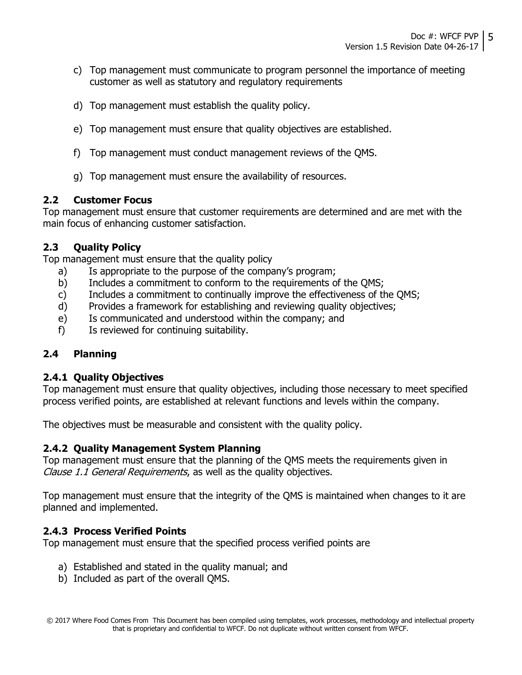- c) Top management must communicate to program personnel the importance of meeting customer as well as statutory and regulatory requirements
- d) Top management must establish the quality policy.
- e) Top management must ensure that quality objectives are established.
- f) Top management must conduct management reviews of the QMS.
- g) Top management must ensure the availability of resources.

#### 2.2 Customer Focus

Top management must ensure that customer requirements are determined and are met with the main focus of enhancing customer satisfaction.

#### 2.3 Quality Policy

Top management must ensure that the quality policy

- a) Is appropriate to the purpose of the company's program;
- b) Includes a commitment to conform to the requirements of the QMS;
- c) Includes a commitment to continually improve the effectiveness of the QMS;
- d) Provides a framework for establishing and reviewing quality objectives;
- e) Is communicated and understood within the company; and
- f) Is reviewed for continuing suitability.

#### 2.4 Planning

#### 2.4.1 Quality Objectives

Top management must ensure that quality objectives, including those necessary to meet specified process verified points, are established at relevant functions and levels within the company.

The objectives must be measurable and consistent with the quality policy.

#### 2.4.2 Quality Management System Planning

Top management must ensure that the planning of the QMS meets the requirements given in Clause 1.1 General Requirements, as well as the quality objectives.

Top management must ensure that the integrity of the QMS is maintained when changes to it are planned and implemented.

#### 2.4.3 Process Verified Points

Top management must ensure that the specified process verified points are

- a) Established and stated in the quality manual; and
- b) Included as part of the overall QMS.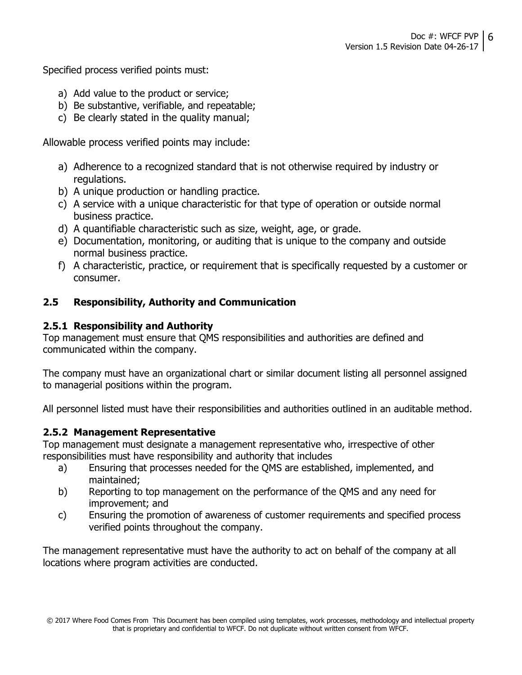Specified process verified points must:

- a) Add value to the product or service;
- b) Be substantive, verifiable, and repeatable;
- c) Be clearly stated in the quality manual;

Allowable process verified points may include:

- a) Adherence to a recognized standard that is not otherwise required by industry or regulations.
- b) A unique production or handling practice.
- c) A service with a unique characteristic for that type of operation or outside normal business practice.
- d) A quantifiable characteristic such as size, weight, age, or grade.
- e) Documentation, monitoring, or auditing that is unique to the company and outside normal business practice.
- f) A characteristic, practice, or requirement that is specifically requested by a customer or consumer.

### 2.5 Responsibility, Authority and Communication

#### 2.5.1 Responsibility and Authority

Top management must ensure that QMS responsibilities and authorities are defined and communicated within the company.

The company must have an organizational chart or similar document listing all personnel assigned to managerial positions within the program.

All personnel listed must have their responsibilities and authorities outlined in an auditable method.

#### 2.5.2 Management Representative

Top management must designate a management representative who, irrespective of other responsibilities must have responsibility and authority that includes

- a) Ensuring that processes needed for the QMS are established, implemented, and maintained;
- b) Reporting to top management on the performance of the QMS and any need for improvement; and
- c) Ensuring the promotion of awareness of customer requirements and specified process verified points throughout the company.

The management representative must have the authority to act on behalf of the company at all locations where program activities are conducted.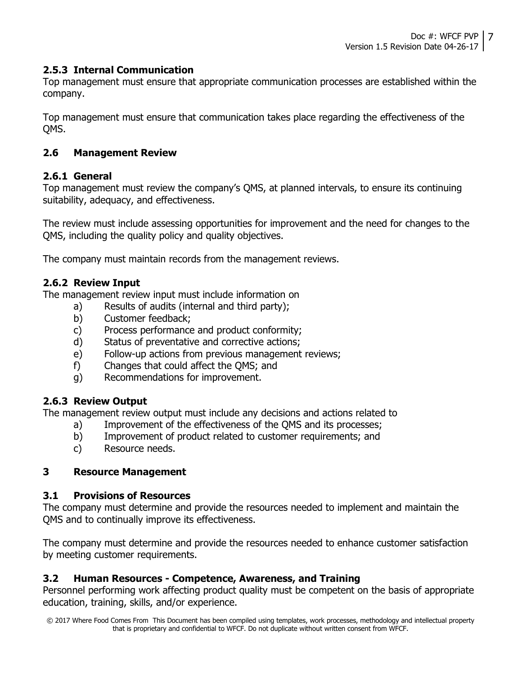#### 2.5.3 Internal Communication

Top management must ensure that appropriate communication processes are established within the company.

Top management must ensure that communication takes place regarding the effectiveness of the QMS.

#### 2.6 Management Review

#### 2.6.1 General

Top management must review the company's QMS, at planned intervals, to ensure its continuing suitability, adequacy, and effectiveness.

The review must include assessing opportunities for improvement and the need for changes to the QMS, including the quality policy and quality objectives.

The company must maintain records from the management reviews.

#### 2.6.2 Review Input

The management review input must include information on

- a) Results of audits (internal and third party);
- b) Customer feedback;
- c) Process performance and product conformity;
- d) Status of preventative and corrective actions;
- e) Follow-up actions from previous management reviews;
- f) Changes that could affect the QMS; and
- g) Recommendations for improvement.

#### 2.6.3 Review Output

The management review output must include any decisions and actions related to

- a) Improvement of the effectiveness of the QMS and its processes;
- b) Improvement of product related to customer requirements; and
- c) Resource needs.

#### 3 Resource Management

#### 3.1 Provisions of Resources

The company must determine and provide the resources needed to implement and maintain the QMS and to continually improve its effectiveness.

The company must determine and provide the resources needed to enhance customer satisfaction by meeting customer requirements.

#### 3.2 Human Resources - Competence, Awareness, and Training

Personnel performing work affecting product quality must be competent on the basis of appropriate education, training, skills, and/or experience.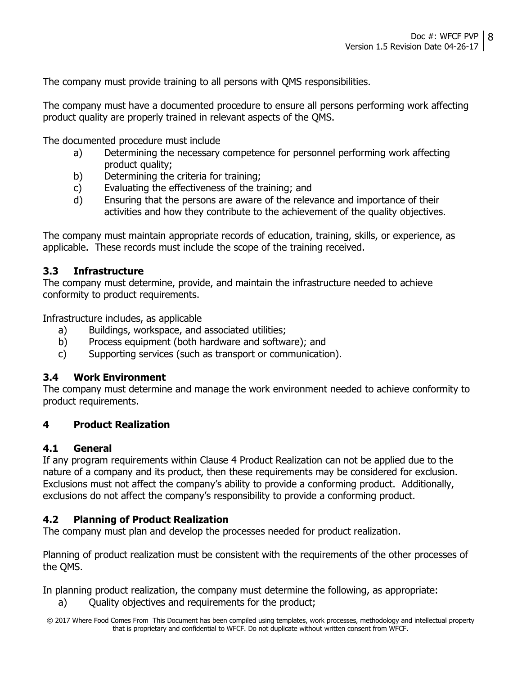The company must provide training to all persons with QMS responsibilities.

The company must have a documented procedure to ensure all persons performing work affecting product quality are properly trained in relevant aspects of the QMS.

The documented procedure must include

- a) Determining the necessary competence for personnel performing work affecting product quality;
- b) Determining the criteria for training;
- c) Evaluating the effectiveness of the training; and
- d) Ensuring that the persons are aware of the relevance and importance of their activities and how they contribute to the achievement of the quality objectives.

The company must maintain appropriate records of education, training, skills, or experience, as applicable. These records must include the scope of the training received.

### 3.3 Infrastructure

The company must determine, provide, and maintain the infrastructure needed to achieve conformity to product requirements.

Infrastructure includes, as applicable

- a) Buildings, workspace, and associated utilities;
- b) Process equipment (both hardware and software); and
- c) Supporting services (such as transport or communication).

#### 3.4 Work Environment

The company must determine and manage the work environment needed to achieve conformity to product requirements.

### 4 Product Realization

#### 4.1 General

If any program requirements within Clause 4 Product Realization can not be applied due to the nature of a company and its product, then these requirements may be considered for exclusion. Exclusions must not affect the company's ability to provide a conforming product. Additionally, exclusions do not affect the company's responsibility to provide a conforming product.

### 4.2 Planning of Product Realization

The company must plan and develop the processes needed for product realization.

Planning of product realization must be consistent with the requirements of the other processes of the QMS.

In planning product realization, the company must determine the following, as appropriate:

a) Quality objectives and requirements for the product;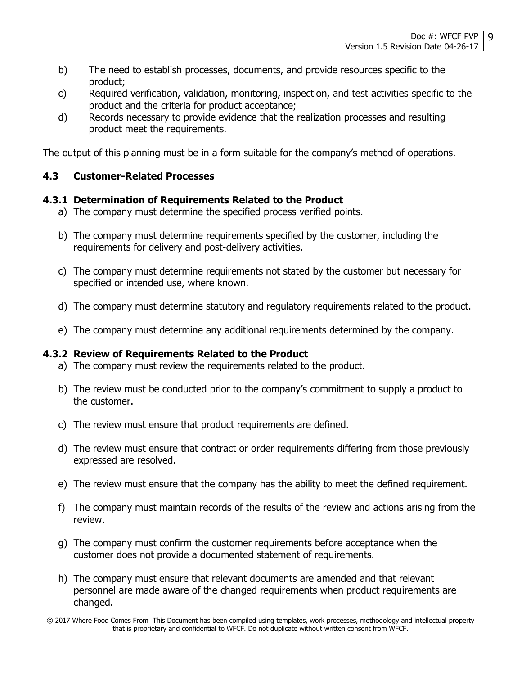- b) The need to establish processes, documents, and provide resources specific to the product;
- c) Required verification, validation, monitoring, inspection, and test activities specific to the product and the criteria for product acceptance;
- d) Records necessary to provide evidence that the realization processes and resulting product meet the requirements.

The output of this planning must be in a form suitable for the company's method of operations.

#### 4.3 Customer-Related Processes

#### 4.3.1 Determination of Requirements Related to the Product

- a) The company must determine the specified process verified points.
- b) The company must determine requirements specified by the customer, including the requirements for delivery and post-delivery activities.
- c) The company must determine requirements not stated by the customer but necessary for specified or intended use, where known.
- d) The company must determine statutory and regulatory requirements related to the product.
- e) The company must determine any additional requirements determined by the company.

#### 4.3.2 Review of Requirements Related to the Product

- a) The company must review the requirements related to the product.
- b) The review must be conducted prior to the company's commitment to supply a product to the customer.
- c) The review must ensure that product requirements are defined.
- d) The review must ensure that contract or order requirements differing from those previously expressed are resolved.
- e) The review must ensure that the company has the ability to meet the defined requirement.
- f) The company must maintain records of the results of the review and actions arising from the review.
- g) The company must confirm the customer requirements before acceptance when the customer does not provide a documented statement of requirements.
- h) The company must ensure that relevant documents are amended and that relevant personnel are made aware of the changed requirements when product requirements are changed.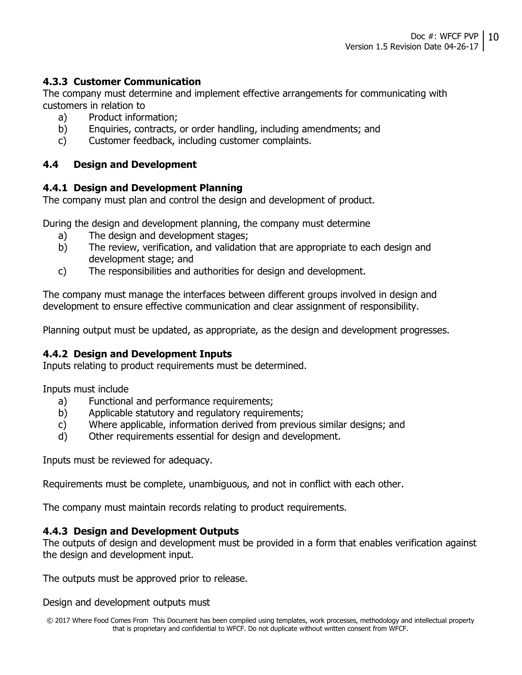#### 4.3.3 Customer Communication

The company must determine and implement effective arrangements for communicating with customers in relation to

- a) Product information;
- b) Enquiries, contracts, or order handling, including amendments; and
- c) Customer feedback, including customer complaints.

#### 4.4 Design and Development

#### 4.4.1 Design and Development Planning

The company must plan and control the design and development of product.

During the design and development planning, the company must determine

- a) The design and development stages;
- b) The review, verification, and validation that are appropriate to each design and development stage; and
- c) The responsibilities and authorities for design and development.

The company must manage the interfaces between different groups involved in design and development to ensure effective communication and clear assignment of responsibility.

Planning output must be updated, as appropriate, as the design and development progresses.

#### 4.4.2 Design and Development Inputs

Inputs relating to product requirements must be determined.

Inputs must include

- a) Functional and performance requirements;
- b) Applicable statutory and regulatory requirements;
- c) Where applicable, information derived from previous similar designs; and
- d) Other requirements essential for design and development.

Inputs must be reviewed for adequacy.

Requirements must be complete, unambiguous, and not in conflict with each other.

The company must maintain records relating to product requirements.

#### 4.4.3 Design and Development Outputs

The outputs of design and development must be provided in a form that enables verification against the design and development input.

The outputs must be approved prior to release.

Design and development outputs must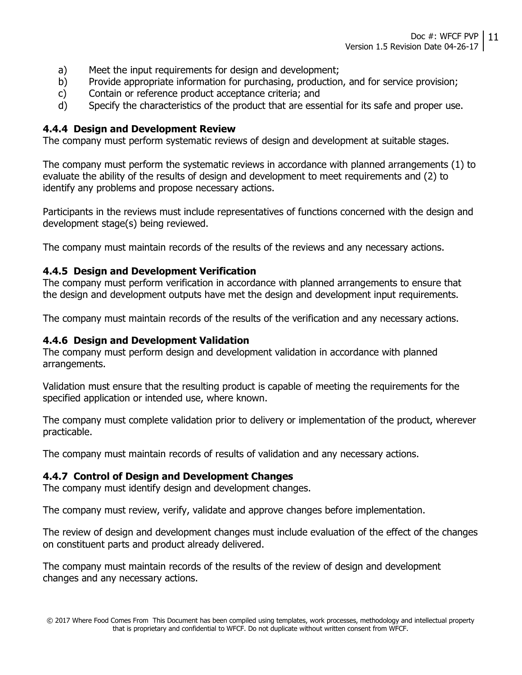- a) Meet the input requirements for design and development;
- b) Provide appropriate information for purchasing, production, and for service provision;
- c) Contain or reference product acceptance criteria; and
- d) Specify the characteristics of the product that are essential for its safe and proper use.

#### 4.4.4 Design and Development Review

The company must perform systematic reviews of design and development at suitable stages.

The company must perform the systematic reviews in accordance with planned arrangements (1) to evaluate the ability of the results of design and development to meet requirements and (2) to identify any problems and propose necessary actions.

Participants in the reviews must include representatives of functions concerned with the design and development stage(s) being reviewed.

The company must maintain records of the results of the reviews and any necessary actions.

#### 4.4.5 Design and Development Verification

The company must perform verification in accordance with planned arrangements to ensure that the design and development outputs have met the design and development input requirements.

The company must maintain records of the results of the verification and any necessary actions.

#### 4.4.6 Design and Development Validation

The company must perform design and development validation in accordance with planned arrangements.

Validation must ensure that the resulting product is capable of meeting the requirements for the specified application or intended use, where known.

The company must complete validation prior to delivery or implementation of the product, wherever practicable.

The company must maintain records of results of validation and any necessary actions.

#### 4.4.7 Control of Design and Development Changes

The company must identify design and development changes.

The company must review, verify, validate and approve changes before implementation.

The review of design and development changes must include evaluation of the effect of the changes on constituent parts and product already delivered.

The company must maintain records of the results of the review of design and development changes and any necessary actions.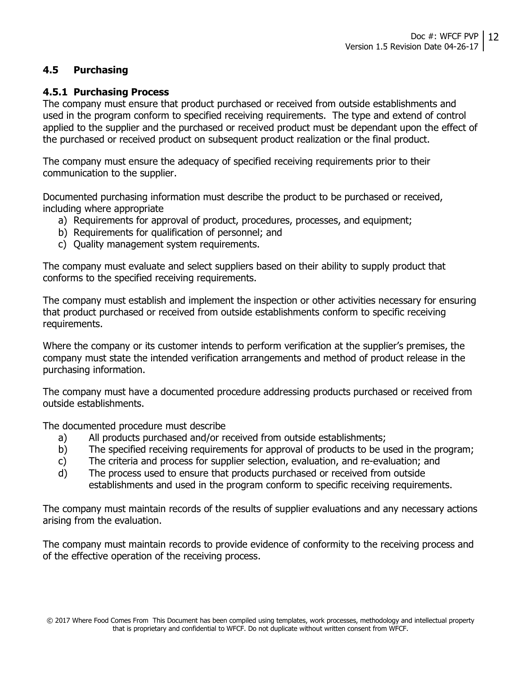#### 4.5 Purchasing

#### 4.5.1 Purchasing Process

The company must ensure that product purchased or received from outside establishments and used in the program conform to specified receiving requirements. The type and extend of control applied to the supplier and the purchased or received product must be dependant upon the effect of the purchased or received product on subsequent product realization or the final product.

The company must ensure the adequacy of specified receiving requirements prior to their communication to the supplier.

Documented purchasing information must describe the product to be purchased or received, including where appropriate

- a) Requirements for approval of product, procedures, processes, and equipment;
- b) Requirements for qualification of personnel; and
- c) Quality management system requirements.

The company must evaluate and select suppliers based on their ability to supply product that conforms to the specified receiving requirements.

The company must establish and implement the inspection or other activities necessary for ensuring that product purchased or received from outside establishments conform to specific receiving requirements.

Where the company or its customer intends to perform verification at the supplier's premises, the company must state the intended verification arrangements and method of product release in the purchasing information.

The company must have a documented procedure addressing products purchased or received from outside establishments.

The documented procedure must describe

- a) All products purchased and/or received from outside establishments;
- b) The specified receiving requirements for approval of products to be used in the program;
- c) The criteria and process for supplier selection, evaluation, and re-evaluation; and
- d) The process used to ensure that products purchased or received from outside establishments and used in the program conform to specific receiving requirements.

The company must maintain records of the results of supplier evaluations and any necessary actions arising from the evaluation.

The company must maintain records to provide evidence of conformity to the receiving process and of the effective operation of the receiving process.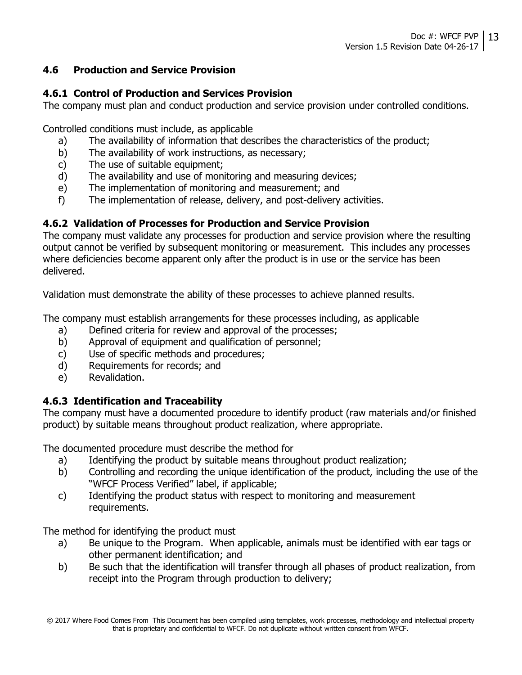#### 4.6 Production and Service Provision

#### 4.6.1 Control of Production and Services Provision

The company must plan and conduct production and service provision under controlled conditions.

Controlled conditions must include, as applicable

- a) The availability of information that describes the characteristics of the product;
- b) The availability of work instructions, as necessary;
- c) The use of suitable equipment;
- d) The availability and use of monitoring and measuring devices;
- e) The implementation of monitoring and measurement; and
- f) The implementation of release, delivery, and post-delivery activities.

### 4.6.2 Validation of Processes for Production and Service Provision

The company must validate any processes for production and service provision where the resulting output cannot be verified by subsequent monitoring or measurement. This includes any processes where deficiencies become apparent only after the product is in use or the service has been delivered.

Validation must demonstrate the ability of these processes to achieve planned results.

The company must establish arrangements for these processes including, as applicable

- a) Defined criteria for review and approval of the processes;
- b) Approval of equipment and qualification of personnel;
- c) Use of specific methods and procedures;
- d) Requirements for records; and
- e) Revalidation.

### 4.6.3 Identification and Traceability

The company must have a documented procedure to identify product (raw materials and/or finished product) by suitable means throughout product realization, where appropriate.

The documented procedure must describe the method for

- a) Identifying the product by suitable means throughout product realization;
- b) Controlling and recording the unique identification of the product, including the use of the "WFCF Process Verified" label, if applicable;
- c) Identifying the product status with respect to monitoring and measurement requirements.

The method for identifying the product must

- a) Be unique to the Program. When applicable, animals must be identified with ear tags or other permanent identification; and
- b) Be such that the identification will transfer through all phases of product realization, from receipt into the Program through production to delivery;

<sup>© 2017</sup> Where Food Comes From This Document has been compiled using templates, work processes, methodology and intellectual property that is proprietary and confidential to WFCF. Do not duplicate without written consent from WFCF.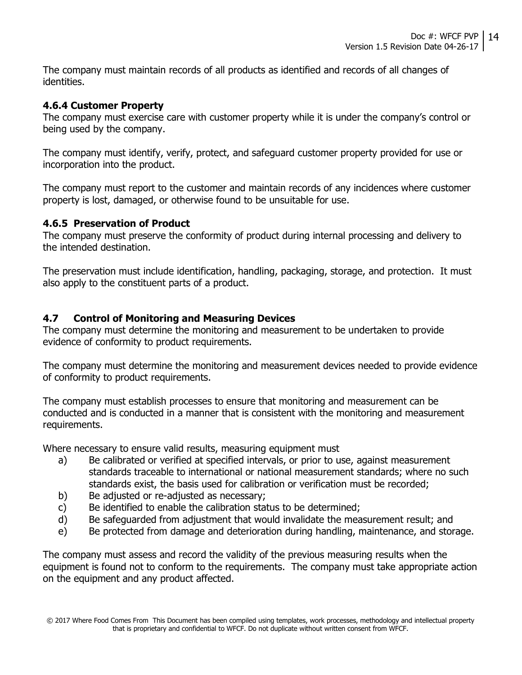The company must maintain records of all products as identified and records of all changes of identities.

#### 4.6.4 Customer Property

The company must exercise care with customer property while it is under the company's control or being used by the company.

The company must identify, verify, protect, and safeguard customer property provided for use or incorporation into the product.

The company must report to the customer and maintain records of any incidences where customer property is lost, damaged, or otherwise found to be unsuitable for use.

#### 4.6.5 Preservation of Product

The company must preserve the conformity of product during internal processing and delivery to the intended destination.

The preservation must include identification, handling, packaging, storage, and protection. It must also apply to the constituent parts of a product.

#### 4.7 Control of Monitoring and Measuring Devices

The company must determine the monitoring and measurement to be undertaken to provide evidence of conformity to product requirements.

The company must determine the monitoring and measurement devices needed to provide evidence of conformity to product requirements.

The company must establish processes to ensure that monitoring and measurement can be conducted and is conducted in a manner that is consistent with the monitoring and measurement requirements.

Where necessary to ensure valid results, measuring equipment must

- a) Be calibrated or verified at specified intervals, or prior to use, against measurement standards traceable to international or national measurement standards; where no such standards exist, the basis used for calibration or verification must be recorded;
- b) Be adjusted or re-adjusted as necessary;
- c) Be identified to enable the calibration status to be determined;
- d) Be safeguarded from adjustment that would invalidate the measurement result; and
- e) Be protected from damage and deterioration during handling, maintenance, and storage.

The company must assess and record the validity of the previous measuring results when the equipment is found not to conform to the requirements. The company must take appropriate action on the equipment and any product affected.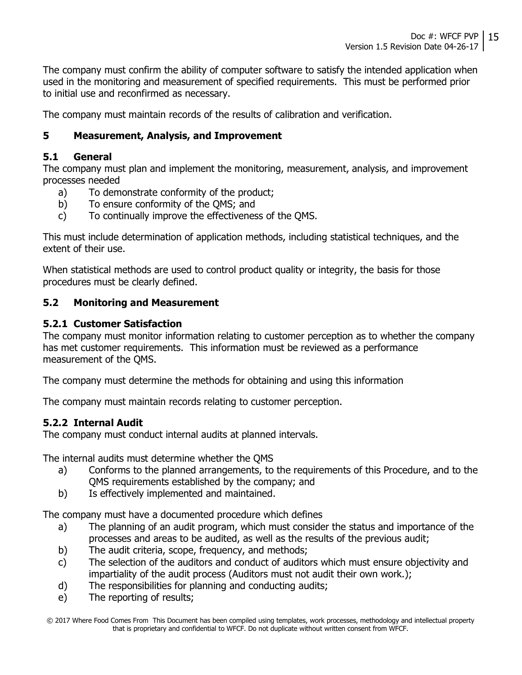The company must confirm the ability of computer software to satisfy the intended application when used in the monitoring and measurement of specified requirements. This must be performed prior to initial use and reconfirmed as necessary.

The company must maintain records of the results of calibration and verification.

### 5 Measurement, Analysis, and Improvement

#### 5.1 General

The company must plan and implement the monitoring, measurement, analysis, and improvement processes needed

- a) To demonstrate conformity of the product;
- b) To ensure conformity of the QMS; and
- c) To continually improve the effectiveness of the QMS.

This must include determination of application methods, including statistical techniques, and the extent of their use.

When statistical methods are used to control product quality or integrity, the basis for those procedures must be clearly defined.

#### 5.2 Monitoring and Measurement

#### 5.2.1 Customer Satisfaction

The company must monitor information relating to customer perception as to whether the company has met customer requirements. This information must be reviewed as a performance measurement of the QMS.

The company must determine the methods for obtaining and using this information

The company must maintain records relating to customer perception.

#### 5.2.2 Internal Audit

The company must conduct internal audits at planned intervals.

The internal audits must determine whether the QMS

- a) Conforms to the planned arrangements, to the requirements of this Procedure, and to the QMS requirements established by the company; and
- b) Is effectively implemented and maintained.

The company must have a documented procedure which defines

- a) The planning of an audit program, which must consider the status and importance of the processes and areas to be audited, as well as the results of the previous audit;
- b) The audit criteria, scope, frequency, and methods;
- c) The selection of the auditors and conduct of auditors which must ensure objectivity and impartiality of the audit process (Auditors must not audit their own work.);
- d) The responsibilities for planning and conducting audits;
- e) The reporting of results;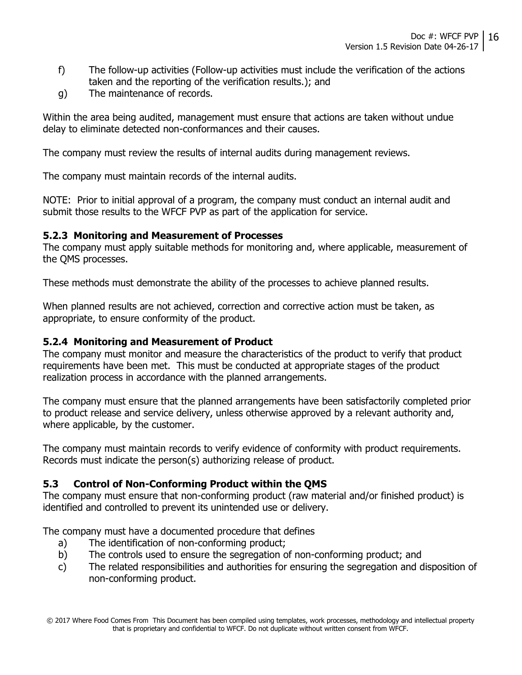- f) The follow-up activities (Follow-up activities must include the verification of the actions taken and the reporting of the verification results.); and
- g) The maintenance of records.

Within the area being audited, management must ensure that actions are taken without undue delay to eliminate detected non-conformances and their causes.

The company must review the results of internal audits during management reviews.

The company must maintain records of the internal audits.

NOTE: Prior to initial approval of a program, the company must conduct an internal audit and submit those results to the WFCF PVP as part of the application for service.

#### 5.2.3 Monitoring and Measurement of Processes

The company must apply suitable methods for monitoring and, where applicable, measurement of the QMS processes.

These methods must demonstrate the ability of the processes to achieve planned results.

When planned results are not achieved, correction and corrective action must be taken, as appropriate, to ensure conformity of the product.

#### 5.2.4 Monitoring and Measurement of Product

The company must monitor and measure the characteristics of the product to verify that product requirements have been met. This must be conducted at appropriate stages of the product realization process in accordance with the planned arrangements.

The company must ensure that the planned arrangements have been satisfactorily completed prior to product release and service delivery, unless otherwise approved by a relevant authority and, where applicable, by the customer.

The company must maintain records to verify evidence of conformity with product requirements. Records must indicate the person(s) authorizing release of product.

#### 5.3 Control of Non-Conforming Product within the QMS

The company must ensure that non-conforming product (raw material and/or finished product) is identified and controlled to prevent its unintended use or delivery.

The company must have a documented procedure that defines

- a) The identification of non-conforming product;
- b) The controls used to ensure the segregation of non-conforming product; and
- c) The related responsibilities and authorities for ensuring the segregation and disposition of non-conforming product.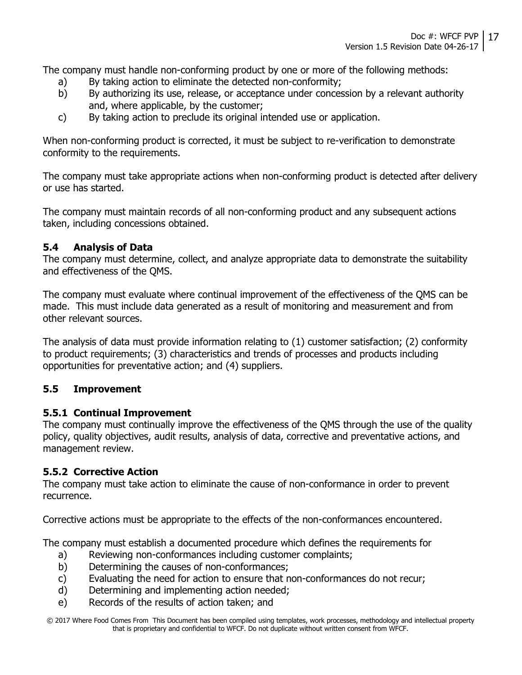The company must handle non-conforming product by one or more of the following methods:

- a) By taking action to eliminate the detected non-conformity;
- b) By authorizing its use, release, or acceptance under concession by a relevant authority and, where applicable, by the customer;
- c) By taking action to preclude its original intended use or application.

When non-conforming product is corrected, it must be subject to re-verification to demonstrate conformity to the requirements.

The company must take appropriate actions when non-conforming product is detected after delivery or use has started.

The company must maintain records of all non-conforming product and any subsequent actions taken, including concessions obtained.

### 5.4 Analysis of Data

The company must determine, collect, and analyze appropriate data to demonstrate the suitability and effectiveness of the QMS.

The company must evaluate where continual improvement of the effectiveness of the QMS can be made. This must include data generated as a result of monitoring and measurement and from other relevant sources.

The analysis of data must provide information relating to (1) customer satisfaction; (2) conformity to product requirements; (3) characteristics and trends of processes and products including opportunities for preventative action; and (4) suppliers.

### 5.5 Improvement

#### 5.5.1 Continual Improvement

The company must continually improve the effectiveness of the QMS through the use of the quality policy, quality objectives, audit results, analysis of data, corrective and preventative actions, and management review.

### 5.5.2 Corrective Action

The company must take action to eliminate the cause of non-conformance in order to prevent recurrence.

Corrective actions must be appropriate to the effects of the non-conformances encountered.

The company must establish a documented procedure which defines the requirements for

- a) Reviewing non-conformances including customer complaints;
- b) Determining the causes of non-conformances;
- c) Evaluating the need for action to ensure that non-conformances do not recur;
- d) Determining and implementing action needed;
- e) Records of the results of action taken; and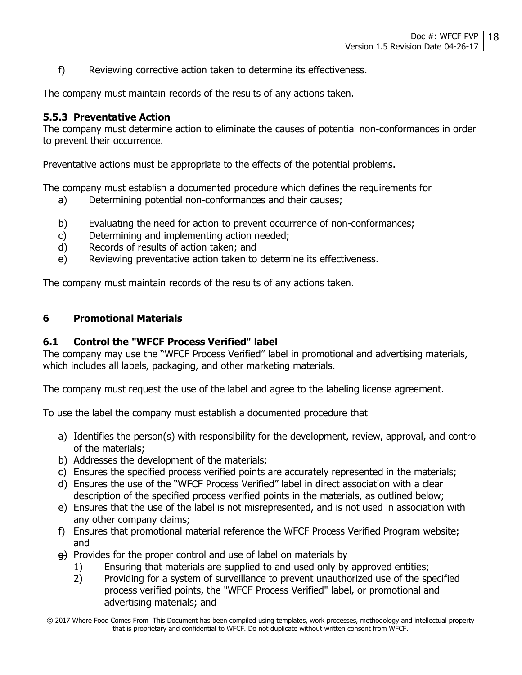f) Reviewing corrective action taken to determine its effectiveness.

The company must maintain records of the results of any actions taken.

#### 5.5.3 Preventative Action

The company must determine action to eliminate the causes of potential non-conformances in order to prevent their occurrence.

Preventative actions must be appropriate to the effects of the potential problems.

The company must establish a documented procedure which defines the requirements for

- a) Determining potential non-conformances and their causes;
- b) Evaluating the need for action to prevent occurrence of non-conformances;
- c) Determining and implementing action needed;
- d) Records of results of action taken; and
- e) Reviewing preventative action taken to determine its effectiveness.

The company must maintain records of the results of any actions taken.

#### 6 Promotional Materials

#### 6.1 Control the "WFCF Process Verified" label

The company may use the "WFCF Process Verified" label in promotional and advertising materials, which includes all labels, packaging, and other marketing materials.

The company must request the use of the label and agree to the labeling license agreement.

To use the label the company must establish a documented procedure that

- a) Identifies the person(s) with responsibility for the development, review, approval, and control of the materials;
- b) Addresses the development of the materials;
- c) Ensures the specified process verified points are accurately represented in the materials;
- d) Ensures the use of the "WFCF Process Verified" label in direct association with a clear description of the specified process verified points in the materials, as outlined below;
- e) Ensures that the use of the label is not misrepresented, and is not used in association with any other company claims;
- f) Ensures that promotional material reference the WFCF Process Verified Program website; and
- $\theta$ ) Provides for the proper control and use of label on materials by
	- 1) Ensuring that materials are supplied to and used only by approved entities;
	- 2) Providing for a system of surveillance to prevent unauthorized use of the specified process verified points, the "WFCF Process Verified" label, or promotional and advertising materials; and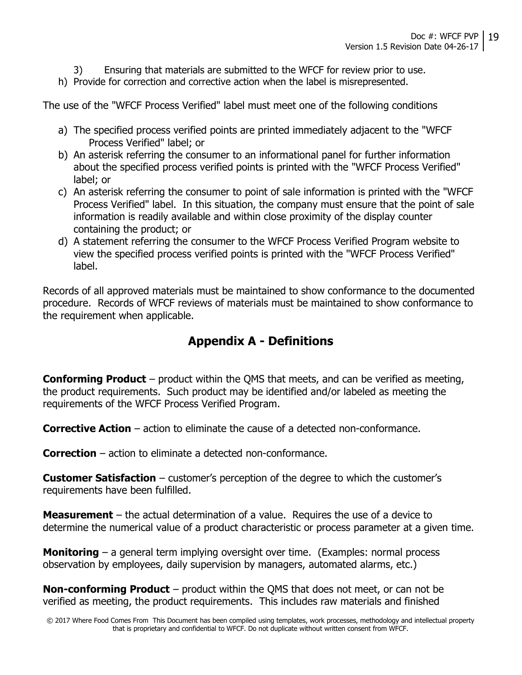- 3) Ensuring that materials are submitted to the WFCF for review prior to use.
- h) Provide for correction and corrective action when the label is misrepresented.

The use of the "WFCF Process Verified" label must meet one of the following conditions

- a) The specified process verified points are printed immediately adjacent to the "WFCF Process Verified" label; or
- b) An asterisk referring the consumer to an informational panel for further information about the specified process verified points is printed with the "WFCF Process Verified" label; or
- c) An asterisk referring the consumer to point of sale information is printed with the "WFCF Process Verified" label. In this situation, the company must ensure that the point of sale information is readily available and within close proximity of the display counter containing the product; or
- d) A statement referring the consumer to the WFCF Process Verified Program website to view the specified process verified points is printed with the "WFCF Process Verified" label.

Records of all approved materials must be maintained to show conformance to the documented procedure. Records of WFCF reviews of materials must be maintained to show conformance to the requirement when applicable.

## Appendix A - Definitions

**Conforming Product** – product within the QMS that meets, and can be verified as meeting, the product requirements. Such product may be identified and/or labeled as meeting the requirements of the WFCF Process Verified Program.

Corrective Action – action to eliminate the cause of a detected non-conformance.

Correction – action to eliminate a detected non-conformance.

**Customer Satisfaction** – customer's perception of the degree to which the customer's requirements have been fulfilled.

**Measurement** – the actual determination of a value. Requires the use of a device to determine the numerical value of a product characteristic or process parameter at a given time.

**Monitoring** – a general term implying oversight over time. (Examples: normal process observation by employees, daily supervision by managers, automated alarms, etc.)

**Non-conforming Product** – product within the QMS that does not meet, or can not be verified as meeting, the product requirements. This includes raw materials and finished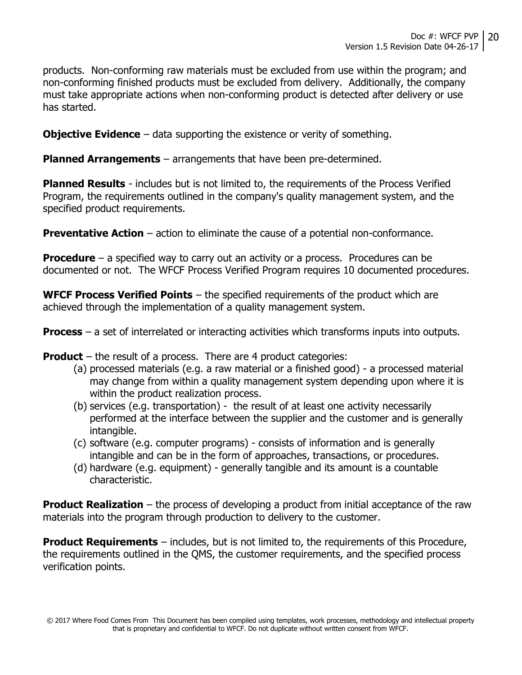products. Non-conforming raw materials must be excluded from use within the program; and non-conforming finished products must be excluded from delivery. Additionally, the company must take appropriate actions when non-conforming product is detected after delivery or use has started.

**Objective Evidence** – data supporting the existence or verity of something.

**Planned Arrangements** – arrangements that have been pre-determined.

**Planned Results** - includes but is not limited to, the requirements of the Process Verified Program, the requirements outlined in the company's quality management system, and the specified product requirements.

**Preventative Action** – action to eliminate the cause of a potential non-conformance.

**Procedure** – a specified way to carry out an activity or a process. Procedures can be documented or not. The WFCF Process Verified Program requires 10 documented procedures.

**WFCF Process Verified Points** – the specified requirements of the product which are achieved through the implementation of a quality management system.

**Process** – a set of interrelated or interacting activities which transforms inputs into outputs.

**Product** – the result of a process. There are 4 product categories:

- (a) processed materials (e.g. a raw material or a finished good) a processed material may change from within a quality management system depending upon where it is within the product realization process.
- (b) services (e.g. transportation) the result of at least one activity necessarily performed at the interface between the supplier and the customer and is generally intangible.
- (c) software (e.g. computer programs) consists of information and is generally intangible and can be in the form of approaches, transactions, or procedures.
- (d) hardware (e.g. equipment) generally tangible and its amount is a countable characteristic.

**Product Realization** – the process of developing a product from initial acceptance of the raw materials into the program through production to delivery to the customer.

**Product Requirements** – includes, but is not limited to, the requirements of this Procedure, the requirements outlined in the QMS, the customer requirements, and the specified process verification points.